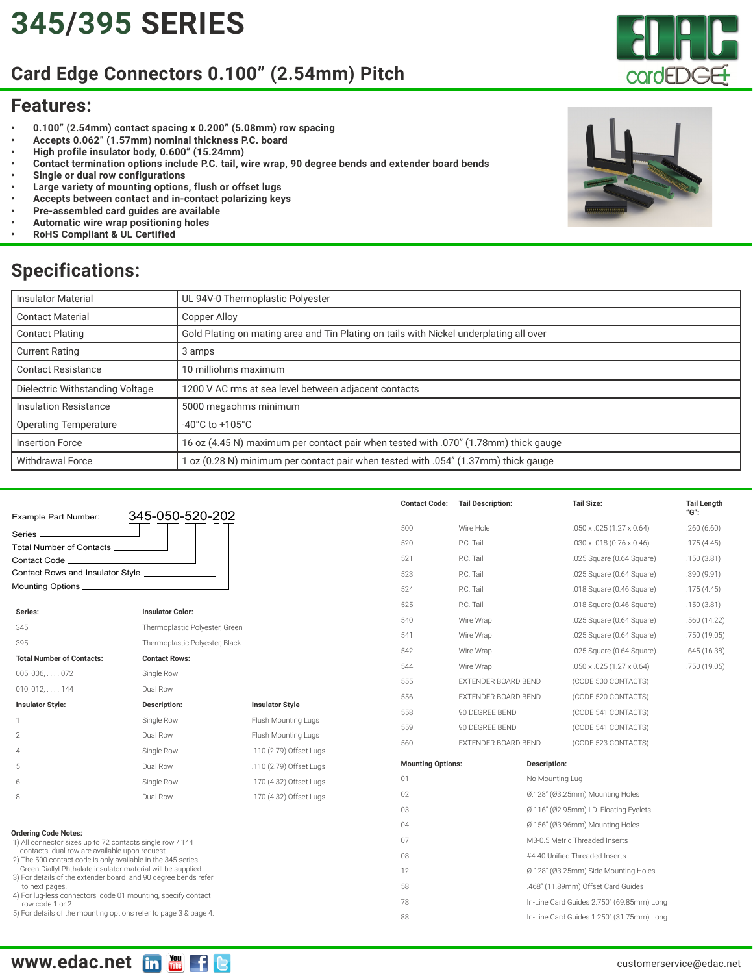# **[345/](https://edac.net/series/345)[395](https://edac.net/series/395) SERIES**

### **Card Edge Connectors 0.100" (2.54mm) Pitch**

#### **Features:**

- **• 0.100" (2.54mm) contact spacing x 0.200" (5.08mm) row spacing**
- **• Accepts 0.062" (1.57mm) nominal thickness P.C. board**
- **• High profile insulator body, 0.600" (15.24mm)**
- **• Contact termination options include P.C. tail, wire wrap, 90 degree bends and extender board bends**
- **• Single or dual row configurations**
- **• Large variety of mounting options, flush or offset lugs**
- **• Accepts between contact and in-contact polarizing keys**
- **• Pre-assembled card guides are available**
- **• Automatic wire wrap positioning holes**
- **• RoHS Compliant & UL Certified**

### **Specifications:**

| <b>Insulator Material</b>       | UL 94V-0 Thermoplastic Polyester                                                       |
|---------------------------------|----------------------------------------------------------------------------------------|
| <b>Contact Material</b>         | Copper Alloy                                                                           |
| <b>Contact Plating</b>          | Gold Plating on mating area and Tin Plating on tails with Nickel underplating all over |
| <b>Current Rating</b>           | 3 amps                                                                                 |
| <b>Contact Resistance</b>       | 10 milliohms maximum                                                                   |
| Dielectric Withstanding Voltage | 1200 V AC rms at sea level between adjacent contacts                                   |
| Insulation Resistance           | 5000 megaohms minimum                                                                  |
| <b>Operating Temperature</b>    | $-40^{\circ}$ C to $+105^{\circ}$ C                                                    |
| <b>Insertion Force</b>          | 16 oz (4.45 N) maximum per contact pair when tested with .070" (1.78mm) thick gauge    |
| <b>Withdrawal Force</b>         | 1 oz (0.28 N) minimum per contact pair when tested with .054" (1.37mm) thick gauge     |
|                                 |                                                                                        |

|                                                                                                                                                                                                                                                 |                                |                         | <b>Contact Code:</b>     | <b>Tail Description:</b>                  | <b>Tail Size:</b>                       | <b>Tail Length</b><br>"G": |  |
|-------------------------------------------------------------------------------------------------------------------------------------------------------------------------------------------------------------------------------------------------|--------------------------------|-------------------------|--------------------------|-------------------------------------------|-----------------------------------------|----------------------------|--|
| Example Part Number:                                                                                                                                                                                                                            | 345-050-520-202                |                         | 500                      | Wire Hole                                 | $.050 \times .025$ (1.27 $\times$ 0.64) | .260(6.60)                 |  |
| Series _                                                                                                                                                                                                                                        |                                |                         |                          |                                           |                                         |                            |  |
| Total Number of Contacts __________                                                                                                                                                                                                             |                                |                         | 520                      | P.C. Tail                                 | $.030 \times .018$ (0.76 $\times$ 0.46) | .175(4.45)                 |  |
| Contact Code_                                                                                                                                                                                                                                   |                                |                         | 521                      | P.C. Tail                                 | .025 Square (0.64 Square)               | .150(3.81)                 |  |
| Contact Rows and Insulator Style _______________                                                                                                                                                                                                |                                |                         | 523                      | P.C. Tail                                 | .025 Square (0.64 Square)               | .390(9.91)                 |  |
|                                                                                                                                                                                                                                                 |                                |                         | 524                      | P.C. Tail                                 | .018 Square (0.46 Square)               | .175(4.45)                 |  |
| Series:                                                                                                                                                                                                                                         | <b>Insulator Color:</b>        |                         | 525                      | P.C. Tail                                 | .018 Square (0.46 Square)               | .150(3.81)                 |  |
| 345                                                                                                                                                                                                                                             | Thermoplastic Polyester, Green |                         | 540                      | Wire Wrap                                 | .025 Square (0.64 Square)               | .560(14.22)                |  |
| 395                                                                                                                                                                                                                                             | Thermoplastic Polyester, Black |                         | 541                      | Wire Wrap                                 | .025 Square (0.64 Square)               | .750 (19.05)               |  |
| <b>Total Number of Contacts:</b>                                                                                                                                                                                                                | <b>Contact Rows:</b>           |                         | 542                      | Wire Wrap                                 | .025 Square (0.64 Square)               | .645(16.38)                |  |
|                                                                                                                                                                                                                                                 |                                |                         | 544                      | Wire Wrap                                 | $.050 \times .025$ (1.27 $\times$ 0.64) | .750 (19.05)               |  |
| $005, 006, \ldots$ . 072                                                                                                                                                                                                                        | Single Row                     |                         | 555                      | EXTENDER BOARD BEND                       | (CODE 500 CONTACTS)                     |                            |  |
| $010, 012, \ldots$ 144                                                                                                                                                                                                                          | Dual Row                       | <b>Insulator Style</b>  | 556                      | EXTENDER BOARD BEND                       | (CODE 520 CONTACTS)                     |                            |  |
| <b>Insulator Style:</b>                                                                                                                                                                                                                         | Description:                   |                         | 558                      | 90 DEGREE BEND                            | (CODE 541 CONTACTS)                     |                            |  |
|                                                                                                                                                                                                                                                 | Single Row                     | Flush Mounting Lugs     | 559                      | 90 DEGREE BEND                            | (CODE 541 CONTACTS)                     |                            |  |
| $\mathbf{2}$                                                                                                                                                                                                                                    | Dual Row                       | Flush Mounting Lugs     | 560                      | EXTENDER BOARD BEND                       | (CODE 523 CONTACTS)                     |                            |  |
| $\overline{4}$                                                                                                                                                                                                                                  | Single Row                     | .110 (2.79) Offset Lugs |                          |                                           |                                         |                            |  |
| 5                                                                                                                                                                                                                                               | Dual Row                       | .110 (2.79) Offset Lugs | <b>Mounting Options:</b> |                                           | Description:                            |                            |  |
| 6                                                                                                                                                                                                                                               | Single Row                     | .170 (4.32) Offset Lugs | 01                       |                                           | No Mounting Lug                         |                            |  |
| 8                                                                                                                                                                                                                                               | Dual Row                       | .170 (4.32) Offset Lugs | 02                       |                                           | Ø.128" (Ø3.25mm) Mounting Holes         |                            |  |
|                                                                                                                                                                                                                                                 |                                |                         | 03                       |                                           | Ø.116" (Ø2.95mm) I.D. Floating Eyelets  |                            |  |
|                                                                                                                                                                                                                                                 |                                |                         | 04                       |                                           | Ø.156" (Ø3.96mm) Mounting Holes         |                            |  |
| <b>Ordering Code Notes:</b><br>1) All connector sizes up to 72 contacts single row / 144                                                                                                                                                        |                                |                         | 07                       |                                           | M3-0.5 Metric Threaded Inserts          |                            |  |
| contacts dual row are available upon request.<br>2) The 500 contact code is only available in the 345 series.<br>Green Diallyl Phthalate insulator material will be supplied.<br>3) For details of the extender board and 90 degree bends refer |                                |                         | 08                       |                                           | #4-40 Unified Threaded Inserts          |                            |  |
|                                                                                                                                                                                                                                                 |                                |                         | 12                       |                                           | Ø.128" (Ø3.25mm) Side Mounting Holes    |                            |  |
| to next pages.                                                                                                                                                                                                                                  |                                | 58                      |                          | .468" (11.89mm) Offset Card Guides        |                                         |                            |  |
| 4) For lug-less connectors, code 01 mounting, specify contact<br>row code 1 or 2.                                                                                                                                                               |                                | 78                      |                          | In-Line Card Guides 2.750" (69.85mm) Long |                                         |                            |  |
| 5) For details of the mounting options refer to page 3 & page 4.                                                                                                                                                                                |                                | 88                      |                          | In-Line Card Guides 1.250" (31.75mm) Long |                                         |                            |  |



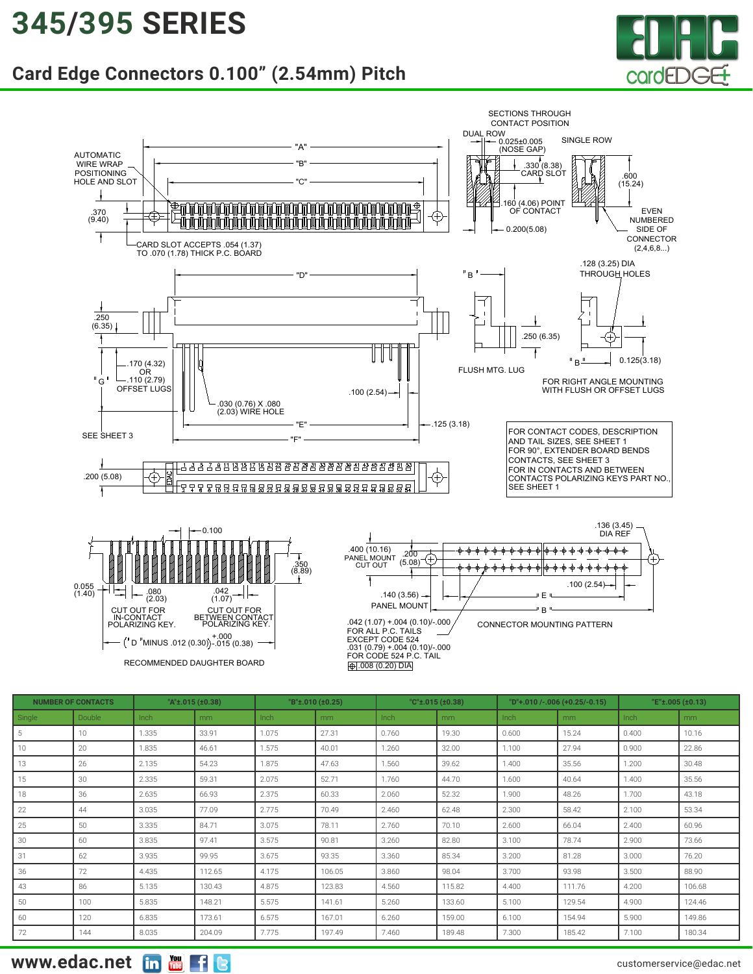### **[345/](https://edac.net/series/345)[395](https://edac.net/series/395) SERIES**

#### **Card Edge Connectors 0.100" (2.54mm) Pitch**





| <b>NUMBER OF CONTACTS</b> |        |       | "A"±.015 (±0.38) |       | "B"±.010 (±0.25) |       | "C't.015(t0.38) |       | "D"+.010 /-.006 (+0.25/-0.15) |       | "E" $\pm$ .005 ( $\pm$ 0.13) |  |
|---------------------------|--------|-------|------------------|-------|------------------|-------|-----------------|-------|-------------------------------|-------|------------------------------|--|
| Single                    | Double | Inch  | m <sub>m</sub>   | Inch  | m <sub>m</sub>   | Inch  | mm              | Inch  | mm                            | Inch  | m <sub>m</sub>               |  |
| 5                         | 10     | 1.335 | 33.91            | 1.075 | 27.31            | 0.760 | 19.30           | 0.600 | 15.24                         | 0.400 | 10.16                        |  |
| 10                        | 20     | 1.835 | 46.61            | 1.575 | 40.01            | 1.260 | 32.00           | 1.100 | 27.94                         | 0.900 | 22.86                        |  |
| 13                        | 26     | 2.135 | 54.23            | 1.875 | 47.63            | 1.560 | 39.62           | 1.400 | 35.56                         | 1.200 | 30.48                        |  |
| 15                        | 30     | 2.335 | 59.31            | 2.075 | 52.71            | 1.760 | 44.70           | 1.600 | 40.64                         | 1.400 | 35.56                        |  |
| 18                        | 36     | 2.635 | 66.93            | 2.375 | 60.33            | 2.060 | 52.32           | 1.900 | 48.26                         | 1.700 | 43.18                        |  |
| 22                        | 44     | 3.035 | 77.09            | 2.775 | 70.49            | 2.460 | 62.48           | 2.300 | 58.42                         | 2.100 | 53.34                        |  |
| 25                        | 50     | 3.335 | 84.71            | 3.075 | 78.11            | 2.760 | 70.10           | 2.600 | 66.04                         | 2.400 | 60.96                        |  |
| 30                        | 60     | 3.835 | 97.41            | 3.575 | 90.81            | 3.260 | 82.80           | 3.100 | 78.74                         | 2.900 | 73.66                        |  |
| 31                        | 62     | 3.935 | 99.95            | 3.675 | 93.35            | 3.360 | 85.34           | 3.200 | 81.28                         | 3.000 | 76.20                        |  |
| 36                        | 72     | 4.435 | 112.65           | 4.175 | 106.05           | 3.860 | 98.04           | 3.700 | 93.98                         | 3.500 | 88.90                        |  |
| 43                        | 86     | 5.135 | 130.43           | 4.875 | 123.83           | 4.560 | 115.82          | 4.400 | 111.76                        | 4.200 | 106.68                       |  |
| 50                        | 100    | 5.835 | 148.21           | 5.575 | 141.61           | 5.260 | 133.60          | 5.100 | 129.54                        | 4.900 | 124.46                       |  |
| 60                        | 120    | 6.835 | 173.61           | 6.575 | 167.01           | 6.260 | 159.00          | 6.100 | 154.94                        | 5.900 | 149.86                       |  |
| 72                        | 144    | 8.035 | 204.09           | 7.775 | 197.49           | 7.460 | 189.48          | 7.300 | 185.42                        | 7.100 | 180.34                       |  |